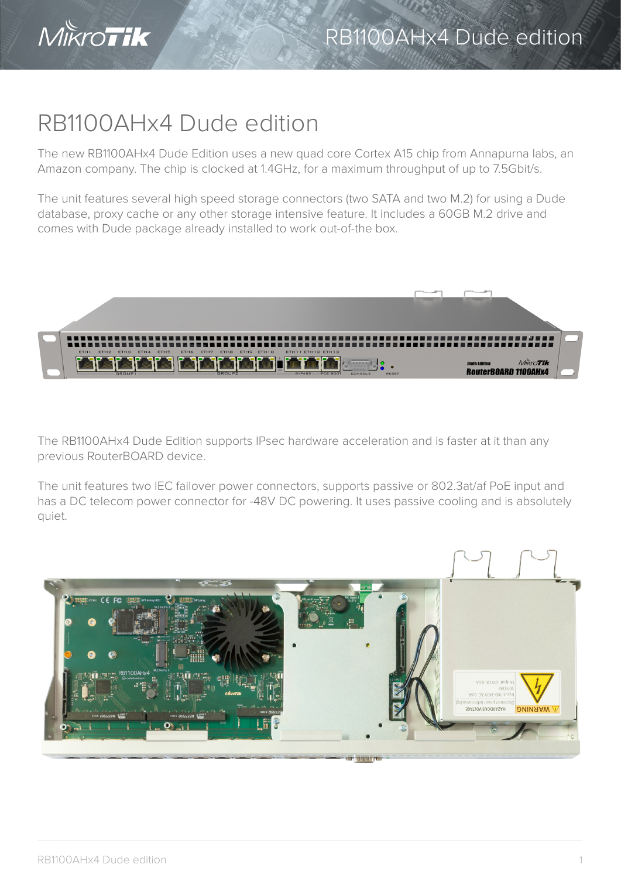

## RB1100AHx4 Dude edition

The new RB1100AHx4 Dude Edition uses a new quad core Cortex A15 chip from Annapurna labs, an Amazon company. The chip is clocked at 1.4GHz, for a maximum throughput of up to 7.5Gbit/s.

The unit features several high speed storage connectors (two SATA and two M.2) for using a Dude database, proxy cache or any other storage intensive feature. It includes a 60GB M.2 drive and comes with Dude package already installed to work out-of-the box.



The RB1100AHx4 Dude Edition supports IPsec hardware acceleration and is faster at it than any previous RouterBOARD device.

The unit features two IEC failover power connectors, supports passive or 802.3at/af PoE input and has a DC telecom power connector for -48V DC powering. It uses passive cooling and is absolutely quiet.